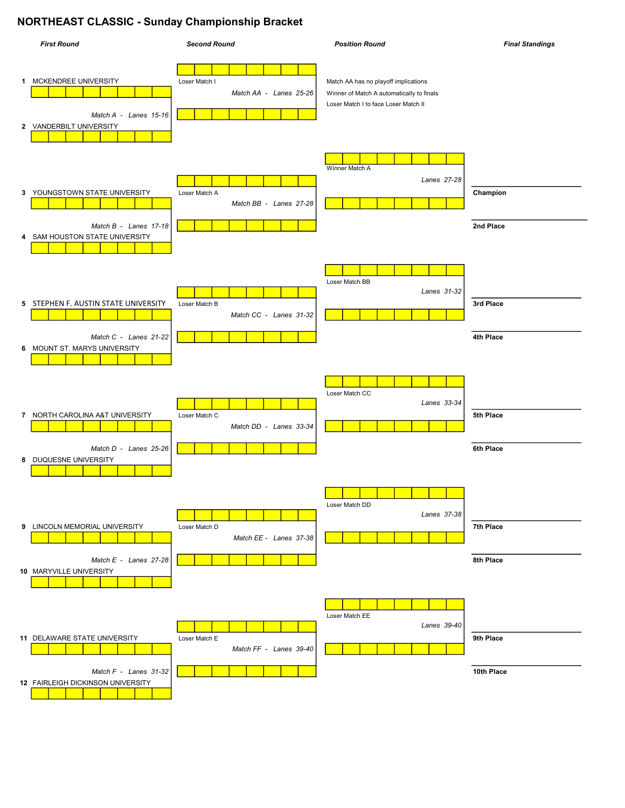## **NORTHEAST CLASSIC - Sunday Championship Bracket**